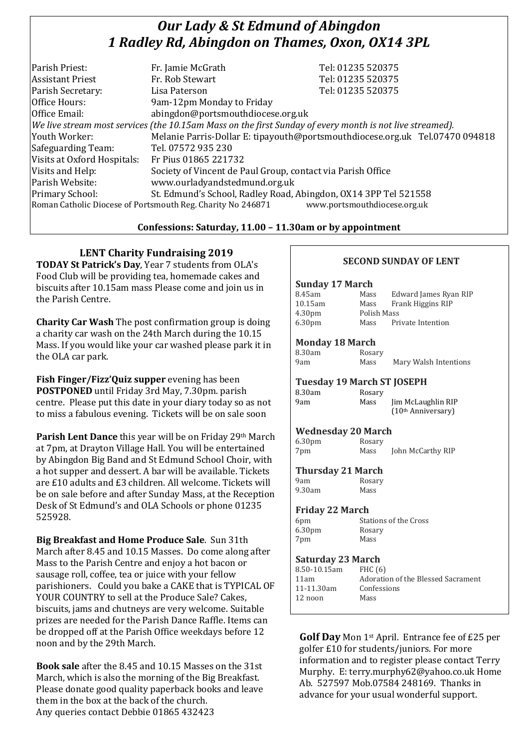## *Our Lady & St Edmund of Abingdon 1 Radley Rd, Abingdon on Thames, Oxon, OX14 3PL*

| Parish Priest:              | Fr. Jamie McGrath                                                                                        | Tel: 01235 520375                                                            |
|-----------------------------|----------------------------------------------------------------------------------------------------------|------------------------------------------------------------------------------|
| <b>Assistant Priest</b>     | Fr. Rob Stewart                                                                                          | Tel: 01235 520375                                                            |
| Parish Secretary:           | Lisa Paterson                                                                                            | Tel: 01235 520375                                                            |
| Office Hours:               | 9am-12pm Monday to Friday                                                                                |                                                                              |
| Office Email:               | abingdon@portsmouthdiocese.org.uk                                                                        |                                                                              |
|                             | We live stream most services (the 10.15am Mass on the first Sunday of every month is not live streamed). |                                                                              |
| Youth Worker:               |                                                                                                          | Melanie Parris-Dollar E: tipayouth@portsmouthdiocese.org.uk Tel.07470 094818 |
| Safeguarding Team:          | Tel. 07572 935 230                                                                                       |                                                                              |
| Visits at Oxford Hospitals: | Fr Pius 01865 221732                                                                                     |                                                                              |
| Visits and Help:            | Society of Vincent de Paul Group, contact via Parish Office                                              |                                                                              |
| Parish Website:             | www.ourladyandstedmund.org.uk                                                                            |                                                                              |
| Primary School:             | St. Edmund's School, Radley Road, Abingdon, OX14 3PP Tel 521558                                          |                                                                              |
|                             | Roman Catholic Diocese of Portsmouth Reg. Charity No 246871                                              | www.portsmouthdiocese.org.uk                                                 |
|                             |                                                                                                          |                                                                              |

## **Confessions: Saturday, 11.00 – 11.30am or by appointment**

## **LENT Charity Fundraising 2019**

**TODAY St Patrick's Day**, Year 7 students from OLA's Food Club will be providing tea, homemade cakes and biscuits after 10.15am mass Please come and join us in the Parish Centre.

**Charity Car Wash** The post confirmation group is doing a charity car wash on the 24th March during the 10.15 Mass. If you would like your car washed please park it in the OLA car park.

**Fish Finger/Fizz'Quiz supper** evening has been **POSTPONED** until Friday 3rd May, 7.30pm. parish centre. Please put this date in your diary today so as not to miss a fabulous evening. Tickets will be on sale soon

**Parish Lent Dance** this year will be on Friday 29th March at 7pm, at Drayton Village Hall. You will be entertained by Abingdon Big Band and St Edmund School Choir, with a hot supper and dessert. A bar will be available. Tickets are £10 adults and £3 children. All welcome. Tickets will be on sale before and after Sunday Mass, at the Reception Desk of St Edmund's and OLA Schools or phone 01235 525928.

**Big Breakfast and Home Produce Sale**. Sun 31th March after 8.45 and 10.15 Masses. Do come along after Mass to the Parish Centre and enjoy a hot bacon or sausage roll, coffee, tea or juice with your fellow parishioners. Could you bake a CAKE that is TYPICAL OF YOUR COUNTRY to sell at the Produce Sale? Cakes, biscuits, jams and chutneys are very welcome. Suitable prizes are needed for the Parish Dance Raffle. Items can be dropped off at the Parish Office weekdays before 12 noon and by the 29th March.

**Book sale** after the 8.45 and 10.15 Masses on the 31st March, which is also the morning of the Big Breakfast. Please donate good quality paperback books and leave them in the box at the back of the church. Any queries contact Debbie 01865 432423

#### **SECOND SUNDAY OF LENT**

#### **Sunday 17 March**

| 8.45am             | Mass        | Edward James Ryan RIP |
|--------------------|-------------|-----------------------|
| 10.15am            | Mass        | Frank Higgins RIP     |
| 4.30 <sub>pm</sub> | Polish Mass |                       |
| 6.30 <sub>pm</sub> | Mass        | Private Intention     |
|                    |             |                       |

#### **Monday 18 March**

| 8.30am | Rosary |                       |
|--------|--------|-----------------------|
| 9am    | Mass   | Mary Walsh Intentions |

# **Tuesday 19 March ST JOSEPH**

#### 8.30am 9am Mass Jim McLaughlin RIP

(10th Anniversary)

#### **Wednesday 20 March**

| 6.30 <sub>pm</sub> | Rosary |                   |
|--------------------|--------|-------------------|
| 7pm                | Mass   | John McCarthy RIP |

#### **Thursday 21 March**

| 9am    | Rosary |
|--------|--------|
| 9.30am | Mass   |

#### **Friday 22 March**

| Rosary |
|--------|
| Mass   |
|        |

#### **Saturday 23 March**

| 8.50-10.15am | FHC $(6)$                          |
|--------------|------------------------------------|
| 11am         | Adoration of the Blessed Sacrament |
| 11-11.30am   | Confessions                        |
| 12 noon      | Mass                               |
|              |                                    |

**Golf Day** Mon 1st April. Entrance fee of £25 per golfer £10 for students/juniors. For more information and to register please contact Terry Murphy. E: terry.murphy62@yahoo.co.uk Home Ab. 527597 Mob.07584 248169. Thanks in advance for your usual wonderful support.